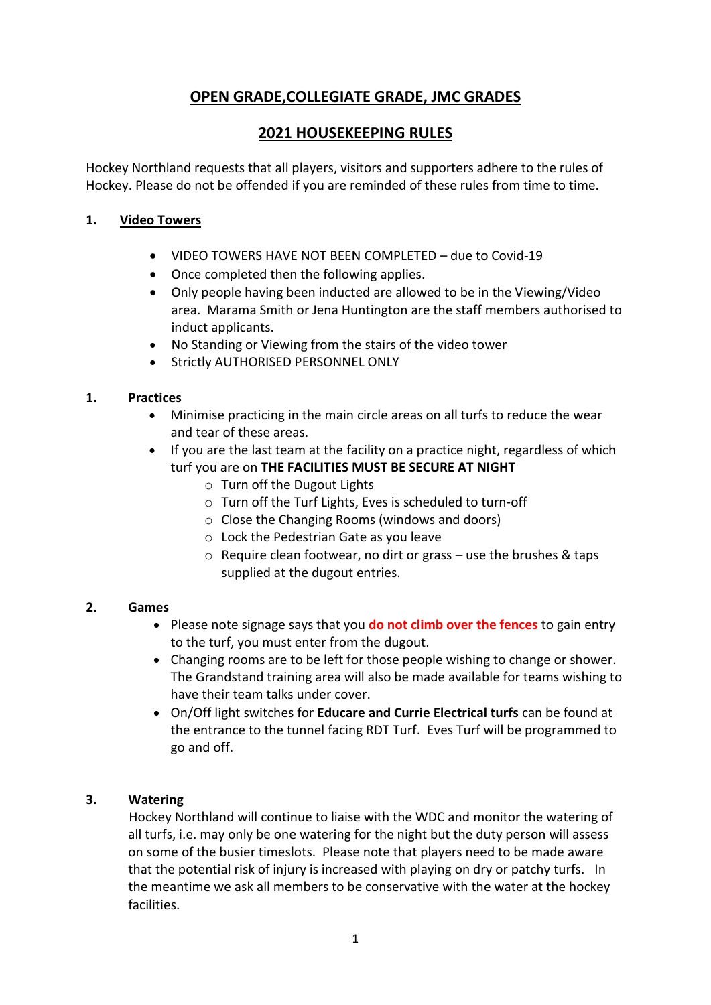# **OPEN GRADE,COLLEGIATE GRADE, JMC GRADES**

# **2021 HOUSEKEEPING RULES**

Hockey Northland requests that all players, visitors and supporters adhere to the rules of Hockey. Please do not be offended if you are reminded of these rules from time to time.

### **1. Video Towers**

- VIDEO TOWERS HAVE NOT BEEN COMPLETED due to Covid-19
- Once completed then the following applies.
- Only people having been inducted are allowed to be in the Viewing/Video area. Marama Smith or Jena Huntington are the staff members authorised to induct applicants.
- No Standing or Viewing from the stairs of the video tower
- **Strictly AUTHORISED PERSONNEL ONLY**

#### **1. Practices**

- Minimise practicing in the main circle areas on all turfs to reduce the wear and tear of these areas.
- If you are the last team at the facility on a practice night, regardless of which turf you are on **THE FACILITIES MUST BE SECURE AT NIGHT**
	- o Turn off the Dugout Lights
	- o Turn off the Turf Lights, Eves is scheduled to turn-off
	- o Close the Changing Rooms (windows and doors)
	- o Lock the Pedestrian Gate as you leave
	- $\circ$  Require clean footwear, no dirt or grass use the brushes & taps supplied at the dugout entries.

#### **2. Games**

- Please note signage says that you **do not climb over the fences** to gain entry to the turf, you must enter from the dugout.
- Changing rooms are to be left for those people wishing to change or shower. The Grandstand training area will also be made available for teams wishing to have their team talks under cover.
- On/Off light switches for **Educare and Currie Electrical turfs** can be found at the entrance to the tunnel facing RDT Turf. Eves Turf will be programmed to go and off.

#### **3. Watering**

Hockey Northland will continue to liaise with the WDC and monitor the watering of all turfs, i.e. may only be one watering for the night but the duty person will assess on some of the busier timeslots. Please note that players need to be made aware that the potential risk of injury is increased with playing on dry or patchy turfs. In the meantime we ask all members to be conservative with the water at the hockey facilities.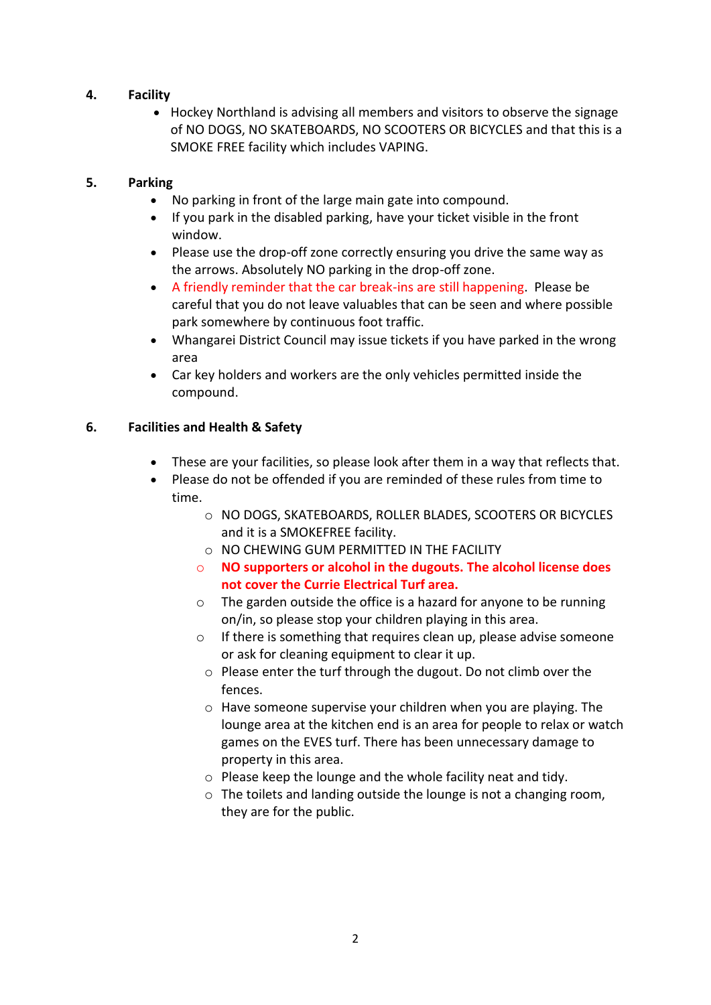### **4. Facility**

 Hockey Northland is advising all members and visitors to observe the signage of NO DOGS, NO SKATEBOARDS, NO SCOOTERS OR BICYCLES and that this is a SMOKE FREE facility which includes VAPING.

#### **5. Parking**

- No parking in front of the large main gate into compound.
- If you park in the disabled parking, have your ticket visible in the front window.
- Please use the drop-off zone correctly ensuring you drive the same way as the arrows. Absolutely NO parking in the drop-off zone.
- A friendly reminder that the car break-ins are still happening. Please be careful that you do not leave valuables that can be seen and where possible park somewhere by continuous foot traffic.
- Whangarei District Council may issue tickets if you have parked in the wrong area
- Car key holders and workers are the only vehicles permitted inside the compound.

## **6. Facilities and Health & Safety**

- These are your facilities, so please look after them in a way that reflects that.
- Please do not be offended if you are reminded of these rules from time to time.
	- o NO DOGS, SKATEBOARDS, ROLLER BLADES, SCOOTERS OR BICYCLES and it is a SMOKEFREE facility.
	- o NO CHEWING GUM PERMITTED IN THE FACILITY
	- o **NO supporters or alcohol in the dugouts. The alcohol license does not cover the Currie Electrical Turf area.**
	- o The garden outside the office is a hazard for anyone to be running on/in, so please stop your children playing in this area.
	- o If there is something that requires clean up, please advise someone or ask for cleaning equipment to clear it up.
		- o Please enter the turf through the dugout. Do not climb over the fences.
		- o Have someone supervise your children when you are playing. The lounge area at the kitchen end is an area for people to relax or watch games on the EVES turf. There has been unnecessary damage to property in this area.
		- o Please keep the lounge and the whole facility neat and tidy.
		- o The toilets and landing outside the lounge is not a changing room, they are for the public.